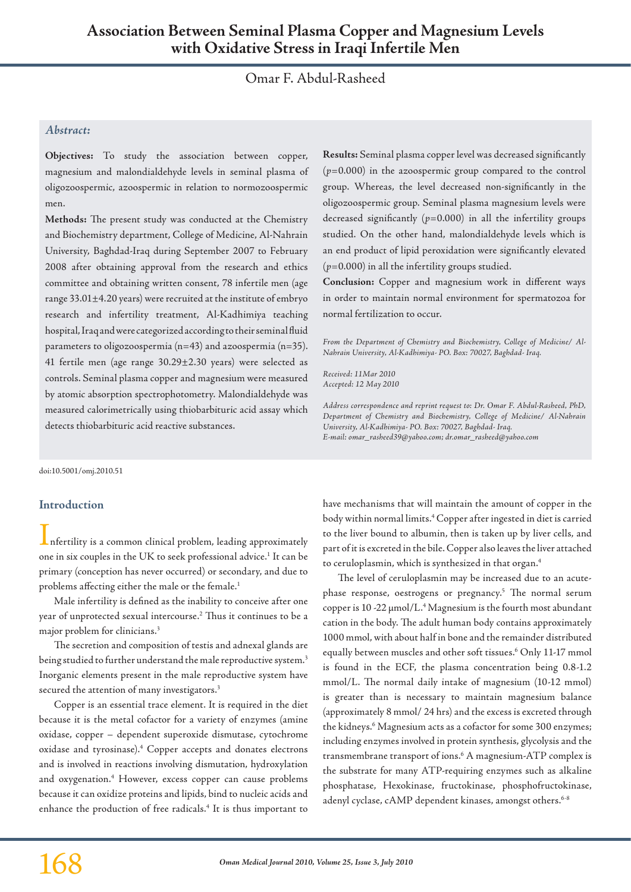# Omar F. Abdul-Rasheed

# *Abstract:*

**Objectives:** To study the association between copper, magnesium and malondialdehyde levels in seminal plasma of oligozoospermic, azoospermic in relation to normozoospermic men.

**Methods:** The present study was conducted at the Chemistry and Biochemistry department, College of Medicine, Al-Nahrain University, Baghdad-Iraq during September 2007 to February 2008 after obtaining approval from the research and ethics committee and obtaining written consent, 78 infertile men (age range 33.01±4.20 years) were recruited at the institute of embryo research and infertility treatment, Al-Kadhimiya teaching hospital, Iraq and were categorized according to their seminal fluid parameters to oligozoospermia (n=43) and azoospermia (n=35). 41 fertile men (age range 30.29±2.30 years) were selected as controls. Seminal plasma copper and magnesium were measured by atomic absorption spectrophotometry. Malondialdehyde was measured calorimetrically using thiobarbituric acid assay which detects thiobarbituric acid reactive substances.

doi:10.5001/omj.2010.51

## **Introduction**

Infertility is a common clinical problem, leading approximately one in six couples in the UK to seek professional advice. <sup>1</sup> It can be primary (conception has never occurred) or secondary, and due to problems affecting either the male or the female. 1

Male infertility is defined as the inability to conceive after one year of unprotected sexual intercourse. <sup>2</sup> Thus it continues to be a major problem for clinicians. 3

The secretion and composition of testis and adnexal glands are being studied to further understand the male reproductive system. $^3$ Inorganic elements present in the male reproductive system have secured the attention of many investigators. 3

Copper is an essential trace element. It is required in the diet because it is the metal cofactor for a variety of enzymes (amine oxidase, copper – dependent superoxide dismutase, cytochrome oxidase and tyrosinase).4 Copper accepts and donates electrons and is involved in reactions involving dismutation, hydroxylation and oxygenation. <sup>4</sup> However, excess copper can cause problems because it can oxidize proteins and lipids, bind to nucleic acids and enhance the production of free radicals. <sup>4</sup> It is thus important to

**Results:** Seminal plasma copper level was decreased significantly (*p*=0.000) in the azoospermic group compared to the control group. Whereas, the level decreased non-significantly in the oligozoospermic group. Seminal plasma magnesium levels were decreased significantly (*p*=0.000) in all the infertility groups studied. On the other hand, malondialdehyde levels which is an end product of lipid peroxidation were significantly elevated (*p*=0.000) in all the infertility groups studied.

**Conclusion:** Copper and magnesium work in different ways in order to maintain normal environment for spermatozoa for normal fertilization to occur.

*From the Department of Chemistry and Biochemistry, College of Medicine/ Al-Nahrain University, Al-Kadhimiya- PO. Box: 70027, Baghdad- Iraq.*

*Received: 11Mar 2010 Accepted: 12 May 2010*

*Address correspondence and reprint request to: Dr. Omar F. Abdul-Rasheed, PhD, Department of Chemistry and Biochemistry, College of Medicine/ Al-Nahrain University, Al-Kadhimiya- PO. Box: 70027, Baghdad- Iraq. E-mail: omar\_rasheed39@yahoo.com; dr.omar\_rasheed@yahoo.com*

have mechanisms that will maintain the amount of copper in the body within normal limits. <sup>4</sup> Copper after ingested in diet iscarried to the liver bound to albumin, then is taken up by liver cells, and part of it is excreted in the bile. Copper also leaves the liver attached to ceruloplasmin, which is synthesized in that organ. 4

The level of ceruloplasmin may be increased due to an acutephase response, oestrogens or pregnancy. <sup>5</sup> The normal serum copper is 10 -22  $\mu$ mol/L.<sup>4</sup> Magnesium is the fourth most abundant cation in the body. The adult human body contains approximately 1000 mmol, with about half in bone and the remainder distributed equally between muscles and other soft tissues. <sup>6</sup> Only 11-17 mmol is found in the ECF, the plasma concentration being 0.8-1.2 mmol/L. The normal daily intake of magnesium (10-12 mmol) is greater than is necessary to maintain magnesium balance (approximately 8 mmol/ 24 hrs) and the excess is excreted through the kidneys. <sup>6</sup> Magnesium acts as a cofactor for some 300 enzymes; including enzymes involved in protein synthesis, glycolysis and the transmembrane transport of ions. <sup>6</sup> A magnesium-ATP complex is the substrate for many ATP-requiring enzymes such as alkaline phosphatase, Hexokinase, fructokinase, phosphofructokinase, adenyl cyclase, cAMP dependent kinases, amongst others. 6-8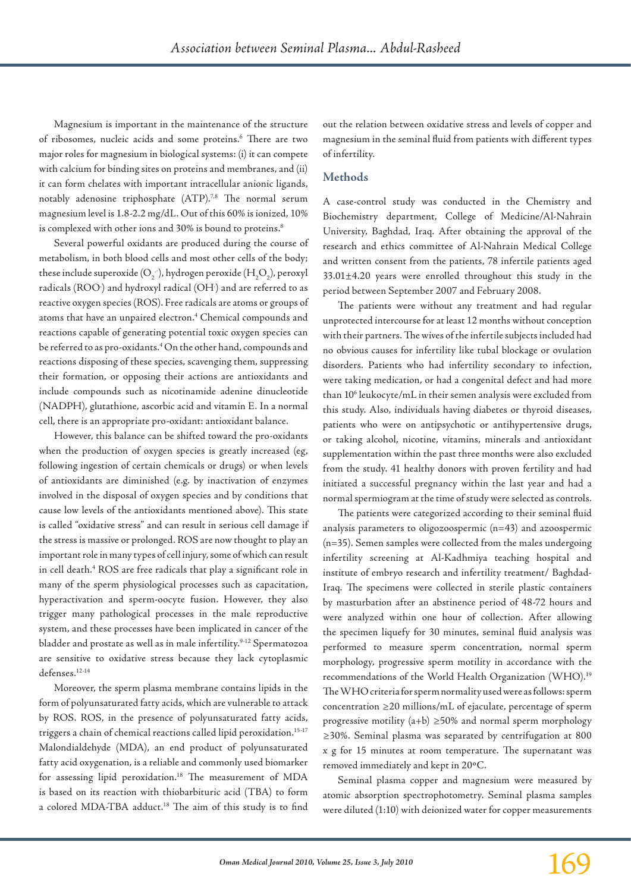Magnesium is important in the maintenance of the structure of ribosomes, nucleic acids and some proteins. <sup>6</sup> There are two major roles for magnesium in biological systems: (i) it can compete with calcium for binding sites on proteins and membranes, and (ii) it can form chelates with important intracellular anionic ligands, notably adenosine triphosphate (ATP).<sup>7,8</sup> The normal serum magnesium level is 1.8-2.2 mg/dL. Out of this 60% is ionized, 10% is complexed with other ions and 30% is bound to proteins. 8

Several powerful oxidants are produced during the course of metabolism, in both blood cells and most other cells of the body; these include superoxide (O<sub>2</sub>  $^{\circ}$ ), hydrogen peroxide (H<sub>2</sub>O<sub>2</sub>), peroxyl radicals (ROO) and hydroxyl radical (OH) and are referred to as reactive oxygen species (ROS). Freeradicals are atoms or groups of atoms that have an unpaired electron. <sup>4</sup> Chemical compounds and reactions capable of generating potential toxic oxygen species can be referred to as pro-oxidants.<sup>4</sup> On the other hand, compounds and reactions disposing of these species, scavenging them, suppressing their formation, or opposing their actions are antioxidants and include compounds such as nicotinamide adenine dinucleotide (NADPH), glutathione, ascorbic acid and vitamin E. In a normal cell, there is an appropriate pro-oxidant: antioxidant balance.

However, this balance can be shifted toward the pro-oxidants when the production of oxygen species is greatly increased (eg, following ingestion of certain chemicals or drugs) or when levels of antioxidants are diminished (e.g. by inactivation of enzymes involved in the disposal of oxygen species and by conditions that cause low levels of the antioxidants mentioned above). This state is called "oxidative stress" and can result in serious cell damage if the stress is massive or prolonged. ROS are now thought to play an important role in many types of cell injury, some of which can result in cell death. <sup>4</sup> ROS are free radicals that play a significant role in many of the sperm physiological processes such as capacitation, hyperactivation and sperm-oocyte fusion. However, they also trigger many pathological processes in the male reproductive system, and these processes have been implicated in cancer of the bladder and prostate as well as in male infertility. 9-12 Spermatozoa are sensitive to oxidative stress because they lack cytoplasmic defenses. 12-14

Moreover, the sperm plasma membrane contains lipids in the form of polyunsaturated fatty acids, which are vulnerable to attack by ROS. ROS, in the presence of polyunsaturated fatty acids, triggers a chain of chemical reactions called lipid peroxidation. 15-17 Malondialdehyde (MDA), an end product of polyunsaturated fatty acid oxygenation, is a reliable and commonly used biomarker for assessing lipid peroxidation. <sup>18</sup> The measurement of MDA is based on its reaction with thiobarbituric acid (TBA) to form a colored MDA-TBA adduct. <sup>18</sup> The aim of this study is to find

out the relation between oxidative stress and levels of copper and magnesium in the seminal fluid from patients with different types of infertility.

# **Methods**

A case-control study was conducted in the Chemistry and Biochemistry department, College of Medicine/Al-Nahrain University, Baghdad, Iraq. After obtaining the approval of the research and ethics committee of Al-Nahrain Medical College and written consent from the patients, 78 infertile patients aged 33.01±4.20 years were enrolled throughout this study in the period between September 2007 and February 2008.

The patients were without any treatment and had regular unprotected intercourse for at least 12 months without conception with their partners. The wives of the infertile subjects included had no obvious causes for infertility like tubal blockage or ovulation disorders. Patients who had infertility secondary to infection, were taking medication, or had a congenital defect and had more than 10<sup>6</sup> leukocyte/mL in their semen analysis were excluded from this study. Also, individuals having diabetes or thyroid diseases, patients who were on antipsychotic or antihypertensive drugs, or taking alcohol, nicotine, vitamins, minerals and antioxidant supplementation within the past three months were also excluded from the study. 41 healthy donors with proven fertility and had initiated a successful pregnancy within the last year and had a normal spermiogram at the time of study were selected as controls.

The patients were categorized according to their seminal fluid analysis parameters to oligozoospermic (n=43) and azoospermic (n=35). Semen samples were collected from the males undergoing infertility screening at Al-Kadhmiya teaching hospital and institute of embryo research and infertility treatment/ Baghdad-Iraq. The specimens were collected in sterile plastic containers by masturbation after an abstinence period of 48-72 hours and were analyzed within one hour of collection. After allowing the specimen liquefy for 30 minutes, seminal fluid analysis was performed to measure sperm concentration, normal sperm morphology, progressive sperm motility in accordance with the recommendations of the World Health Organization (WHO).<sup>19</sup> TheWHOcriteria forspermnormalityusedwere asfollows: sperm concentration ≥20 millions/mL of ejaculate, percentage of sperm progressive motility (a+b) ≥50% and normal sperm morphology ≥30%. Seminal plasma was separated by centrifugation at 800 x g for 15 minutes at room temperature. The supernatant was removed immediately and kept in 20ºC.

Seminal plasma copper and magnesium were measured by atomic absorption spectrophotometry. Seminal plasma samples were diluted (1:10) with deionized water for copper measurements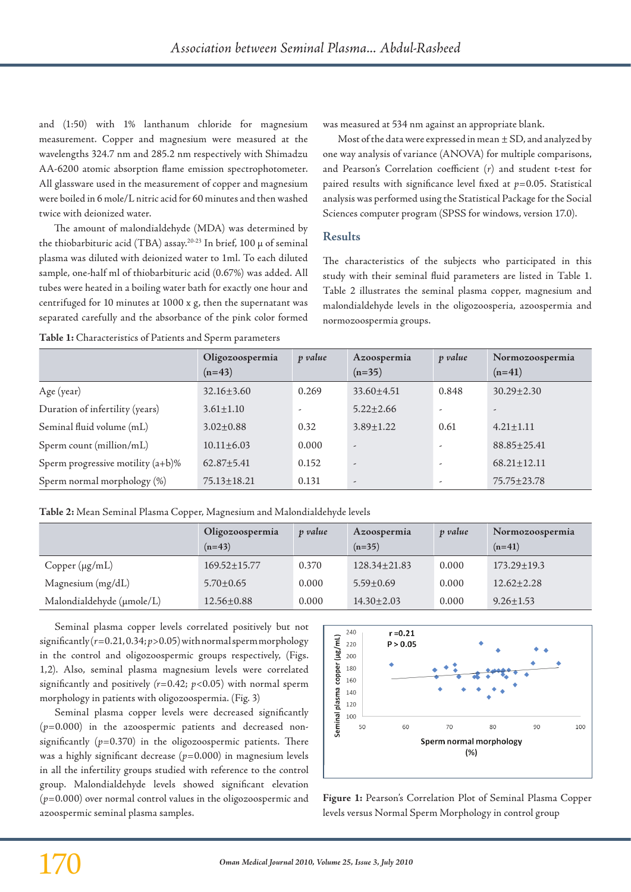and (1:50) with 1% lanthanum chloride for magnesium measurement. Copper and magnesium were measured at the wavelengths 324.7 nm and 285.2 nm respectively with Shimadzu AA-6200 atomic absorption flame emission spectrophotometer. All glassware used in the measurement of copper and magnesium were boiled in 6 mole/L nitric acid for 60 minutes and then washed twice with deionized water.

The amount of malondialdehyde (MDA) was determined by the thiobarbituric acid (TBA) assay.<sup>20-23</sup> In brief, 100 μ of seminal plasma was diluted with deionized water to 1ml. To each diluted sample, one-half ml of thiobarbituric acid (0.67%) was added. All tubes were heated in a boiling water bath for exactly one hour and centrifuged for 10 minutes at 1000 x g, then the supernatant was separated carefully and the absorbance of the pink color formed

**Table 1:** Characteristics of Patients and Sperm parameters

was measured at 534 nm against an appropriate blank.

Most of the data were expressed in mean  $\pm$  SD, and analyzed by one way analysis of variance (ANOVA) for multiple comparisons, and Pearson's Correlation coefficient (*r*) and student t-test for paired results with significance level fixed at *p*=0.05. Statistical analysis was performed using the Statistical Package for the Social Sciences computer program (SPSS for windows, version 17.0).

#### **Results**

The characteristics of the subjects who participated in this study with their seminal fluid parameters are listed in Table 1. Table 2 illustrates the seminal plasma copper, magnesium and malondialdehyde levels in the oligozoosperia, azoospermia and normozoospermia groups.

|                                   | Oligozoospermia<br>$(n=43)$ | p value                  | Azoospermia<br>$(n=35)$  | p value | Normozoospermia<br>$(n=41)$ |
|-----------------------------------|-----------------------------|--------------------------|--------------------------|---------|-----------------------------|
| Age (year)                        | $32.16 \pm 3.60$            | 0.269                    | $33.60 \pm 4.51$         | 0.848   | $30.29 \pm 2.30$            |
| Duration of infertility (years)   | $3.61 \pm 1.10$             | $\overline{\phantom{a}}$ | $5.22 \pm 2.66$          | ٠       | $\overline{\phantom{a}}$    |
| Seminal fluid volume (mL)         | $3.02 \pm 0.88$             | 0.32                     | $3.89 \pm 1.22$          | 0.61    | $4.21 \pm 1.11$             |
| Sperm count (million/mL)          | $10.11 \pm 6.03$            | 0.000                    | $\overline{\phantom{a}}$ | ۔       | $88.85 \pm 25.41$           |
| Sperm progressive motility (a+b)% | $62.87 + 5.41$              | 0.152                    | $\overline{\phantom{a}}$ | ۔       | $68.21 \pm 12.11$           |
| Sperm normal morphology (%)       | $75.13 \pm 18.21$           | 0.131                    | $\overline{\phantom{a}}$ | -       | $75.75 \pm 23.78$           |

**Table 2:** Mean Seminal Plasma Copper, Magnesium and Malondialdehyde levels

|                           | Oligozoospermia<br>$(n=43)$ | p value | Azoospermia<br>$(n=35)$ | p value | Normozoospermia<br>$(n=41)$ |
|---------------------------|-----------------------------|---------|-------------------------|---------|-----------------------------|
| $Copper(\mu g/mL)$        | $169.52 \pm 15.77$          | 0.370   | $128.34 \pm 21.83$      | 0.000   | $173.29 \pm 19.3$           |
| Magnesium (mg/dL)         | $5.70 \pm 0.65$             | 0.000   | $5.59 + 0.69$           | 0.000   | $12.62 \pm 2.28$            |
| Malondialdehyde (µmole/L) | $12.56 \pm 0.88$            | 0.000   | $14.30 \pm 2.03$        | 0.000   | $9.26 \pm 1.53$             |

Seminal plasma copper levels correlated positively but not  $significantly (r=0.21, 0.34; p>0.05) with normal sperm morphology$ in the control and oligozoospermic groups respectively, (Figs. 1,2). Also, seminal plasma magnesium levels were correlated significantly and positively *(r*=0.42; *p*<0.05) with normal sperm morphology in patients with oligozoospermia. (Fig. 3)

Seminal plasma copper levels were decreased significantly (*p*=0.000) in the azoospermic patients and decreased nonsignificantly  $(p=0.370)$  in the oligozoospermic patients. There was a highly significant decrease ( $p=0.000$ ) in magnesium levels in all the infertility groups studied with reference to the control group. Malondialdehyde levels showed significant elevation (*p*=0.000) over normal control values in the oligozoospermic and azoospermic seminal plasma samples.



**Figure 1:** Pearson's Correlation Plot of Seminal Plasma Copper levels versus Normal Sperm Morphology in control group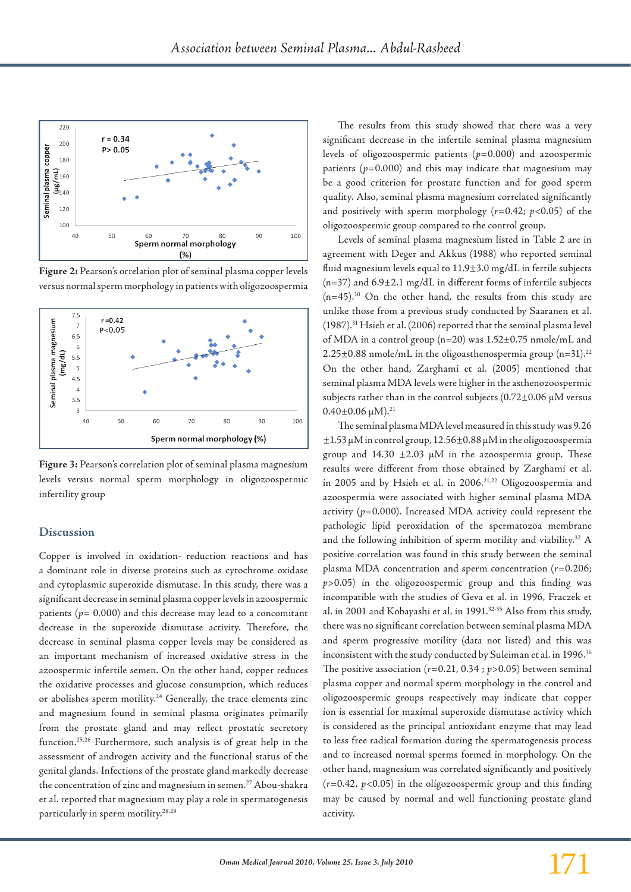

**Figure 2:** Pearson's orrelation plot of seminal plasma copper levels versus normal sperm morphology in patients with oligozoospermia



**Figure 3:** Pearson's correlation plot of seminal plasma magnesium levels versus normal sperm morphology in oligozoospermic infertility group

#### **Discussion**

Copper is involved in oxidation- reduction reactions and has a dominant role in diverse proteins such as cytochrome oxidase and cytoplasmic superoxide dismutase. In this study, there was a significant decrease in seminal plasma copper levels in azoospermic patients ( $p = 0.000$ ) and this decrease may lead to a concomitant decrease in the superoxide dismutase activity. Therefore, the decrease in seminal plasma copper levels may be considered as an important mechanism of increased oxidative stress in the azoospermic infertile semen. On the other hand, copper reduces the oxidative processes and glucose consumption, which reduces or abolishes sperm motility.<sup>24</sup> Generally, the trace elements zinc and magnesium found in seminal plasma originates primarily from the prostate gland and may reflect prostatic secretory function.25,26 Furthermore, such analysis is of great help in the assessment of androgen activity and the functional status of the genital glands. Infections of the prostate gland markedly decrease the concentration of zinc and magnesium in semen.<sup>27</sup> Abou-shakra et al. reported that magnesium may play a role in spermatogenesis particularly in sperm motility.28,29

The results from this study showed that there was a very significant decrease in the infertile seminal plasma magnesium levels of oligozoospermic patients (*p*=0.000) and azoospermic patients  $(p=0.000)$  and this may indicate that magnesium may be a good criterion for prostate function and for good sperm quality. Also, seminal plasma magnesium correlated significantly and positively with sperm morphology (*r*=0.42; *p*<0.05) of the oligozoospermic group compared to the control group.

Levels of seminal plasma magnesium listed in Table 2 are in agreement with Deger and Akkus (1988) who reported seminal fluid magnesium levels equal to 11.9±3.0 mg/dL in fertile subjects (n=37) and 6.9±2.1 mg/dL in different forms of infertile subjects  $(n=45)$ <sup>30</sup> On the other hand, the results from this study are unlike those from a previous study conducted by Saaranen et al. (1987).31 Hsieh et al. (2006) reported that the seminal plasma level of MDA in a control group (n=20) was 1.52±0.75 nmole/mL and  $2.25\pm0.88$  nmole/mL in the oligoasthenospermia group (n=31).<sup>22</sup> On the other hand, Zarghami et al. (2005) mentioned that seminal plasma MDA levels were higher in the asthenozoospermic subjects rather than in the control subjects  $(0.72\pm0.06 \,\mu\text{M}$  versus  $0.40\pm0.06 \,\mu\text{M}$ <sup>21</sup>

The seminal plasma MDA level measured in this study was 9.26 ±1.53 µM in control group, 12.56±0.88 µM in the oligozoospermia group and  $14.30 \pm 2.03$  µM in the azoospermia group. These results were different from those obtained by Zarghami et al. in 2005 and by Hsieh et al. in 2006.<sup>21,22</sup> Oligozoospermia and azoospermia were associated with higher seminal plasma MDA activity (*p*=0.000). Increased MDA activity could represent the pathologic lipid peroxidation of the spermatozoa membrane and the following inhibition of sperm motility and viability.<sup>32</sup> A positive correlation was found in this study between the seminal plasma MDA concentration and sperm concentration (*r*=0.206; *p*>0.05) in the oligozoospermic group and this finding was incompatible with the studies of Geva et al. in 1996, Fraczek et al. in 2001 and Kobayashi et al. in 1991.32-35 Also from this study, there was no significant correlation between seminal plasma MDA and sperm progressive motility (data not listed) and this was inconsistent with the study conducted by Suleiman et al. in 1996.<sup>36</sup> The positive association  $(r=0.21, 0.34; p>0.05)$  between seminal plasma copper and normal sperm morphology in the control and oligozoospermic groups respectively may indicate that copper ion is essential for maximal superoxide dismutase activity which is considered as the principal antioxidant enzyme that may lead to less free radical formation during the spermatogenesis process and to increased normal sperms formed in morphology. On the other hand, magnesium was correlated significantly and positively  $(r=0.42, p<0.05)$  in the oligozoospermic group and this finding may be caused by normal and well functioning prostate gland activity.